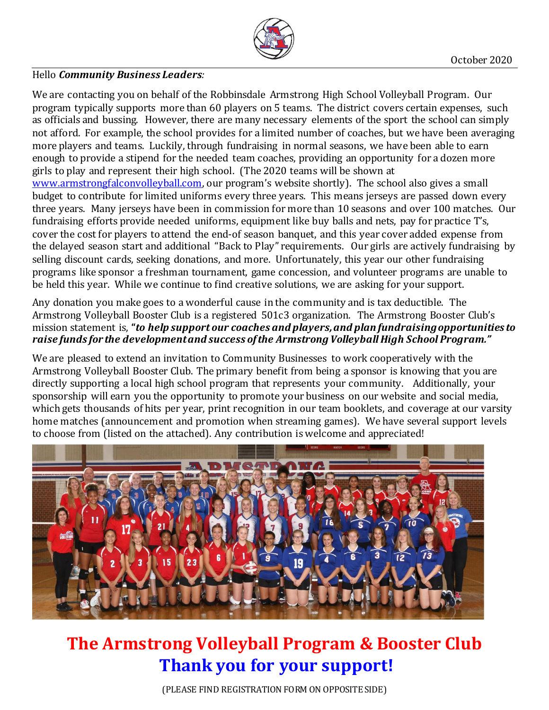

## Hello *Community Business Leaders:*

We are contacting you on behalf of the Robbinsdale Armstrong High School Volleyball Program. Our program typically supports more than 60 players on 5 teams. The district covers certain expenses, such as officials and bussing. However, there are many necessary elements of the sport the school can simply not afford. For example, the school provides for a limited number of coaches, but we have been averaging more players and teams. Luckily, through fundraising in normal seasons, we have been able to earn enough to provide a stipend for the needed team coaches, providing an opportunity for a dozen more girls to play and represent their high school. (The 2020 teams will be shown at [www.armstrongfalconvolleyball.com](http://www.armstrongfalconvolleyball.com/), our program's website shortly). The school also gives a small budget to contribute for limited uniforms every three years. This means jerseys are passed down every three years. Many jerseys have been in commission for more than 10 seasons and over 100 matches. Our fundraising efforts provide needed uniforms, equipment like buy balls and nets, pay for practice T's, cover the cost for players to attend the end-of season banquet, and this year cover added expense from the delayed season start and additional "Back to Play" requirements. Our girls are actively fundraising by selling discount cards, seeking donations, and more. Unfortunately, this year our other fundraising programs like sponsor a freshman tournament, game concession, and volunteer programs are unable to be held this year. While we continue to find creative solutions, we are asking for your support.

Any donation you make goes to a wonderful cause in the community and is tax deductible. The Armstrong Volleyball Booster Club is a registered 501c3 organization. The Armstrong Booster Club's mission statement is, **"***to help support our coaches and players, and plan fundraising opportunities to raise funds for the development and success of the Armstrong Volleyball High School Program."*

We are pleased to extend an invitation to Community Businesses to work cooperatively with the Armstrong Volleyball Booster Club. The primary benefit from being a sponsor is knowing that you are directly supporting a local high school program that represents your community. Additionally, your sponsorship will earn you the opportunity to promote your business on our website and social media, which gets thousands of hits per year, print recognition in our team booklets, and coverage at our varsity home matches (announcement and promotion when streaming games). We have several support levels to choose from (listed on the attached). Any contribution is welcome and appreciated!



## **The Armstrong Volleyball Program & Booster Club Thank you for your support!**

(PLEASE FIND REGISTRATION FORM ON OPPOSITE SIDE)